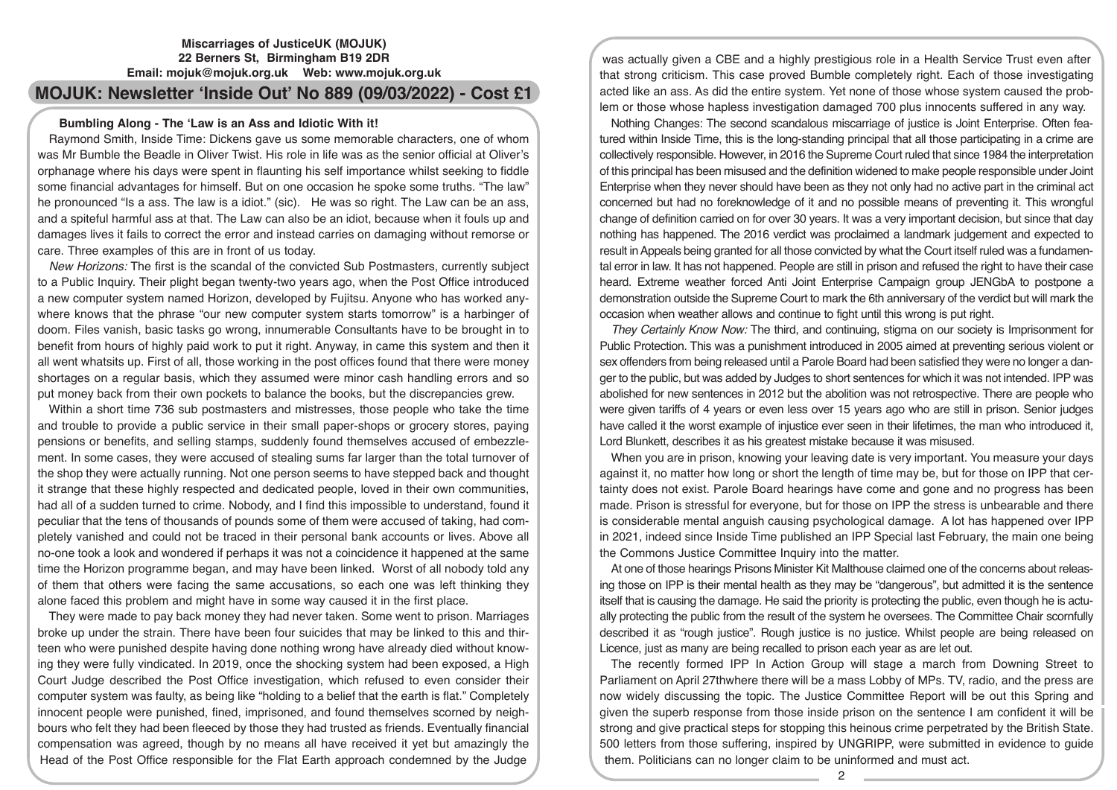## **Miscarriages of JusticeUK (MOJUK) 22 Berners St, Birmingham B19 2DR Email: mojuk@mojuk.org.uk Web: www.mojuk.org.uk**

# **MOJUK: Newsletter 'Inside Out' No 889 (09/03/2022) - Cost £1**

## **Bumbling Along - The 'Law is an Ass and Idiotic With it!**

Raymond Smith, Inside Time: Dickens gave us some memorable characters, one of whom was Mr Bumble the Beadle in Oliver Twist. His role in life was as the senior official at Oliver's orphanage where his days were spent in flaunting his self importance whilst seeking to fiddle some financial advantages for himself. But on one occasion he spoke some truths. "The law" he pronounced "Is a ass. The law is a idiot." (sic). He was so right. The Law can be an ass, and a spiteful harmful ass at that. The Law can also be an idiot, because when it fouls up and damages lives it fails to correct the error and instead carries on damaging without remorse or care. Three examples of this are in front of us today.

*New Horizons:* The first is the scandal of the convicted Sub Postmasters, currently subject to a Public Inquiry. Their plight began twenty-two years ago, when the Post Office introduced a new computer system named Horizon, developed by Fujitsu. Anyone who has worked anywhere knows that the phrase "our new computer system starts tomorrow" is a harbinger of doom. Files vanish, basic tasks go wrong, innumerable Consultants have to be brought in to benefit from hours of highly paid work to put it right. Anyway, in came this system and then it all went whatsits up. First of all, those working in the post offices found that there were money shortages on a regular basis, which they assumed were minor cash handling errors and so put money back from their own pockets to balance the books, but the discrepancies grew.

Within a short time 736 sub postmasters and mistresses, those people who take the time and trouble to provide a public service in their small paper-shops or grocery stores, paying pensions or benefits, and selling stamps, suddenly found themselves accused of embezzlement. In some cases, they were accused of stealing sums far larger than the total turnover of the shop they were actually running. Not one person seems to have stepped back and thought it strange that these highly respected and dedicated people, loved in their own communities, had all of a sudden turned to crime. Nobody, and I find this impossible to understand, found it peculiar that the tens of thousands of pounds some of them were accused of taking, had completely vanished and could not be traced in their personal bank accounts or lives. Above all no-one took a look and wondered if perhaps it was not a coincidence it happened at the same time the Horizon programme began, and may have been linked. Worst of all nobody told any of them that others were facing the same accusations, so each one was left thinking they alone faced this problem and might have in some way caused it in the first place.

They were made to pay back money they had never taken. Some went to prison. Marriages broke up under the strain. There have been four suicides that may be linked to this and thirteen who were punished despite having done nothing wrong have already died without knowing they were fully vindicated. In 2019, once the shocking system had been exposed, a High Court Judge described the Post Office investigation, which refused to even consider their computer system was faulty, as being like "holding to a belief that the earth is flat." Completely innocent people were punished, fined, imprisoned, and found themselves scorned by neighbours who felt they had been fleeced by those they had trusted as friends. Eventually financial compensation was agreed, though by no means all have received it yet but amazingly the Head of the Post Office responsible for the Flat Earth approach condemned by the Judge

was actually given a CBE and a highly prestigious role in a Health Service Trust even after that strong criticism. This case proved Bumble completely right. Each of those investigating acted like an ass. As did the entire system. Yet none of those whose system caused the problem or those whose hapless investigation damaged 700 plus innocents suffered in any way.

Nothing Changes: The second scandalous miscarriage of justice is Joint Enterprise. Often featured within Inside Time, this is the long-standing principal that all those participating in a crime are collectively responsible. However, in 2016 the Supreme Court ruled that since 1984 the interpretation of this principal has been misused and the definition widened to make people responsible under Joint Enterprise when they never should have been as they not only had no active part in the criminal act concerned but had no foreknowledge of it and no possible means of preventing it. This wrongful change of definition carried on for over 30 years. It was a very important decision, but since that day nothing has happened. The 2016 verdict was proclaimed a landmark judgement and expected to result in Appeals being granted for all those convicted by what the Court itself ruled was a fundamental error in law. It has not happened. People are still in prison and refused the right to have their case heard. Extreme weather forced Anti Joint Enterprise Campaign group JENGbA to postpone a demonstration outside the Supreme Court to mark the 6th anniversary of the verdict but will mark the occasion when weather allows and continue to fight until this wrong is put right.

*They Certainly Know Now:* The third, and continuing, stigma on our society is Imprisonment for Public Protection. This was a punishment introduced in 2005 aimed at preventing serious violent or sex offenders from being released until a Parole Board had been satisfied they were no longer a danger to the public, but was added by Judges to short sentences for which it was not intended. IPP was abolished for new sentences in 2012 but the abolition was not retrospective. There are people who were given tariffs of 4 years or even less over 15 years ago who are still in prison. Senior judges have called it the worst example of injustice ever seen in their lifetimes, the man who introduced it, Lord Blunkett, describes it as his greatest mistake because it was misused.

When you are in prison, knowing your leaving date is very important. You measure your days against it, no matter how long or short the length of time may be, but for those on IPP that certainty does not exist. Parole Board hearings have come and gone and no progress has been made. Prison is stressful for everyone, but for those on IPP the stress is unbearable and there is considerable mental anguish causing psychological damage. A lot has happened over IPP in 2021, indeed since Inside Time published an IPP Special last February, the main one being the Commons Justice Committee Inquiry into the matter.

At one of those hearings Prisons Minister Kit Malthouse claimed one of the concerns about releasing those on IPP is their mental health as they may be "dangerous", but admitted it is the sentence itself that is causing the damage. He said the priority is protecting the public, even though he is actually protecting the public from the result of the system he oversees. The Committee Chair scornfully described it as "rough justice". Rough justice is no justice. Whilst people are being released on Licence, just as many are being recalled to prison each year as are let out.

The recently formed IPP In Action Group will stage a march from Downing Street to Parliament on April 27thwhere there will be a mass Lobby of MPs. TV, radio, and the press are now widely discussing the topic. The Justice Committee Report will be out this Spring and given the superb response from those inside prison on the sentence I am confident it will be strong and give practical steps for stopping this heinous crime perpetrated by the British State. 500 letters from those suffering, inspired by UNGRIPP, were submitted in evidence to guide them. Politicians can no longer claim to be uninformed and must act.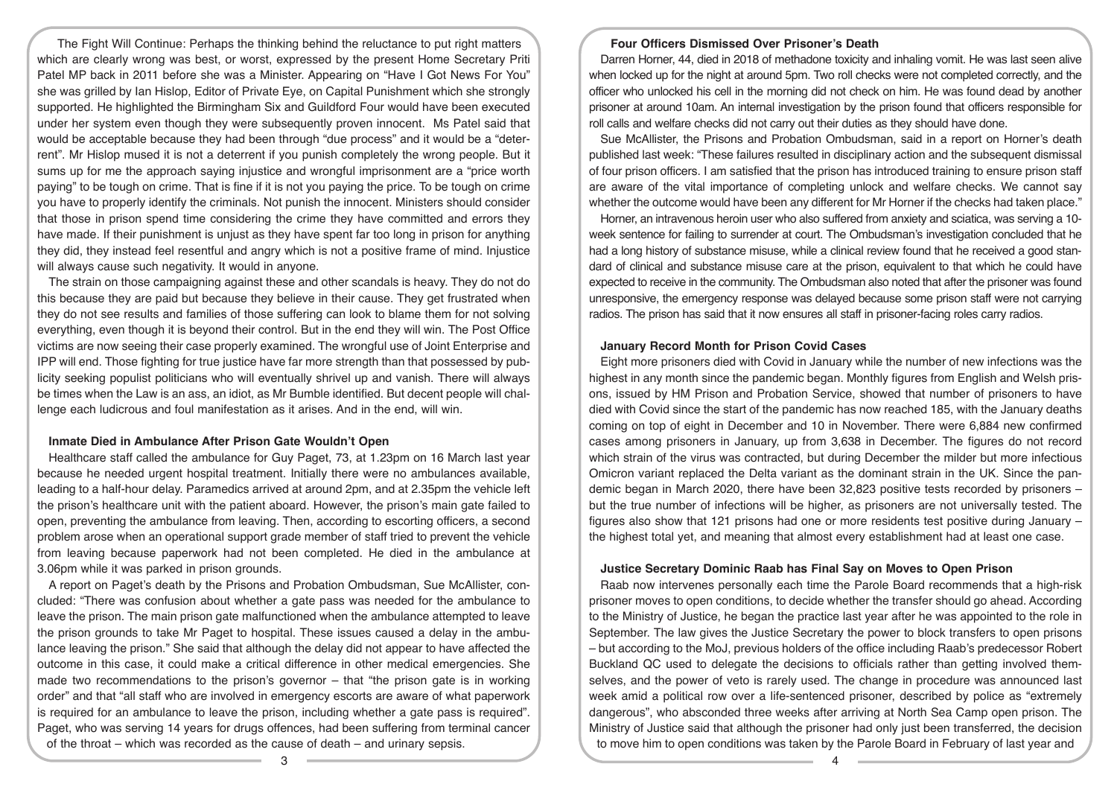The Fight Will Continue: Perhaps the thinking behind the reluctance to put right matters which are clearly wrong was best, or worst, expressed by the present Home Secretary Priti Patel MP back in 2011 before she was a Minister. Appearing on "Have I Got News For You" she was grilled by Ian Hislop, Editor of Private Eye, on Capital Punishment which she strongly supported. He highlighted the Birmingham Six and Guildford Four would have been executed under her system even though they were subsequently proven innocent. Ms Patel said that would be acceptable because they had been through "due process" and it would be a "deterrent". Mr Hislop mused it is not a deterrent if you punish completely the wrong people. But it sums up for me the approach saying injustice and wrongful imprisonment are a "price worth paying" to be tough on crime. That is fine if it is not you paying the price. To be tough on crime you have to properly identify the criminals. Not punish the innocent. Ministers should consider that those in prison spend time considering the crime they have committed and errors they have made. If their punishment is unjust as they have spent far too long in prison for anything they did, they instead feel resentful and angry which is not a positive frame of mind. Injustice will always cause such negativity. It would in anyone.

The strain on those campaigning against these and other scandals is heavy. They do not do this because they are paid but because they believe in their cause. They get frustrated when they do not see results and families of those suffering can look to blame them for not solving everything, even though it is beyond their control. But in the end they will win. The Post Office victims are now seeing their case properly examined. The wrongful use of Joint Enterprise and IPP will end. Those fighting for true justice have far more strength than that possessed by publicity seeking populist politicians who will eventually shrivel up and vanish. There will always be times when the Law is an ass, an idiot, as Mr Bumble identified. But decent people will challenge each ludicrous and foul manifestation as it arises. And in the end, will win.

## **Inmate Died in Ambulance After Prison Gate Wouldn't Open**

Healthcare staff called the ambulance for Guy Paget, 73, at 1.23pm on 16 March last year because he needed urgent hospital treatment. Initially there were no ambulances available, leading to a half-hour delay. Paramedics arrived at around 2pm, and at 2.35pm the vehicle left the prison's healthcare unit with the patient aboard. However, the prison's main gate failed to open, preventing the ambulance from leaving. Then, according to escorting officers, a second problem arose when an operational support grade member of staff tried to prevent the vehicle from leaving because paperwork had not been completed. He died in the ambulance at 3.06pm while it was parked in prison grounds.

A report on Paget's death by the Prisons and Probation Ombudsman, Sue McAllister, concluded: "There was confusion about whether a gate pass was needed for the ambulance to leave the prison. The main prison gate malfunctioned when the ambulance attempted to leave the prison grounds to take Mr Paget to hospital. These issues caused a delay in the ambulance leaving the prison." She said that although the delay did not appear to have affected the outcome in this case, it could make a critical difference in other medical emergencies. She made two recommendations to the prison's governor – that "the prison gate is in working order" and that "all staff who are involved in emergency escorts are aware of what paperwork is required for an ambulance to leave the prison, including whether a gate pass is required". Paget, who was serving 14 years for drugs offences, had been suffering from terminal cancer of the throat – which was recorded as the cause of death – and urinary sepsis.

## **Four Officers Dismissed Over Prisoner's Death**

Darren Horner, 44, died in 2018 of methadone toxicity and inhaling vomit. He was last seen alive when locked up for the night at around 5pm. Two roll checks were not completed correctly, and the officer who unlocked his cell in the morning did not check on him. He was found dead by another prisoner at around 10am. An internal investigation by the prison found that officers responsible for roll calls and welfare checks did not carry out their duties as they should have done.

Sue McAllister, the Prisons and Probation Ombudsman, said in a report on Horner's death published last week: "These failures resulted in disciplinary action and the subsequent dismissal of four prison officers. I am satisfied that the prison has introduced training to ensure prison staff are aware of the vital importance of completing unlock and welfare checks. We cannot say whether the outcome would have been any different for Mr Horner if the checks had taken place."

Horner, an intravenous heroin user who also suffered from anxiety and sciatica, was serving a 10 week sentence for failing to surrender at court. The Ombudsman's investigation concluded that he had a long history of substance misuse, while a clinical review found that he received a good standard of clinical and substance misuse care at the prison, equivalent to that which he could have expected to receive in the community. The Ombudsman also noted that after the prisoner was found unresponsive, the emergency response was delayed because some prison staff were not carrying radios. The prison has said that it now ensures all staff in prisoner-facing roles carry radios.

## **January Record Month for Prison Covid Cases**

Eight more prisoners died with Covid in January while the number of new infections was the highest in any month since the pandemic began. Monthly figures from English and Welsh prisons, issued by HM Prison and Probation Service, showed that number of prisoners to have died with Covid since the start of the pandemic has now reached 185, with the January deaths coming on top of eight in December and 10 in November. There were 6,884 new confirmed cases among prisoners in January, up from 3,638 in December. The figures do not record which strain of the virus was contracted, but during December the milder but more infectious Omicron variant replaced the Delta variant as the dominant strain in the UK. Since the pandemic began in March 2020, there have been 32,823 positive tests recorded by prisoners – but the true number of infections will be higher, as prisoners are not universally tested. The figures also show that 121 prisons had one or more residents test positive during January – the highest total yet, and meaning that almost every establishment had at least one case.

#### **Justice Secretary Dominic Raab has Final Say on Moves to Open Prison**

Raab now intervenes personally each time the Parole Board recommends that a high-risk prisoner moves to open conditions, to decide whether the transfer should go ahead. According to the Ministry of Justice, he began the practice last year after he was appointed to the role in September. The law gives the Justice Secretary the power to block transfers to open prisons – but according to the MoJ, previous holders of the office including Raab's predecessor Robert Buckland QC used to delegate the decisions to officials rather than getting involved themselves, and the power of veto is rarely used. The change in procedure was announced last week amid a political row over a life-sentenced prisoner, described by police as "extremely dangerous", who absconded three weeks after arriving at North Sea Camp open prison. The Ministry of Justice said that although the prisoner had only just been transferred, the decision to move him to open conditions was taken by the Parole Board in February of last year and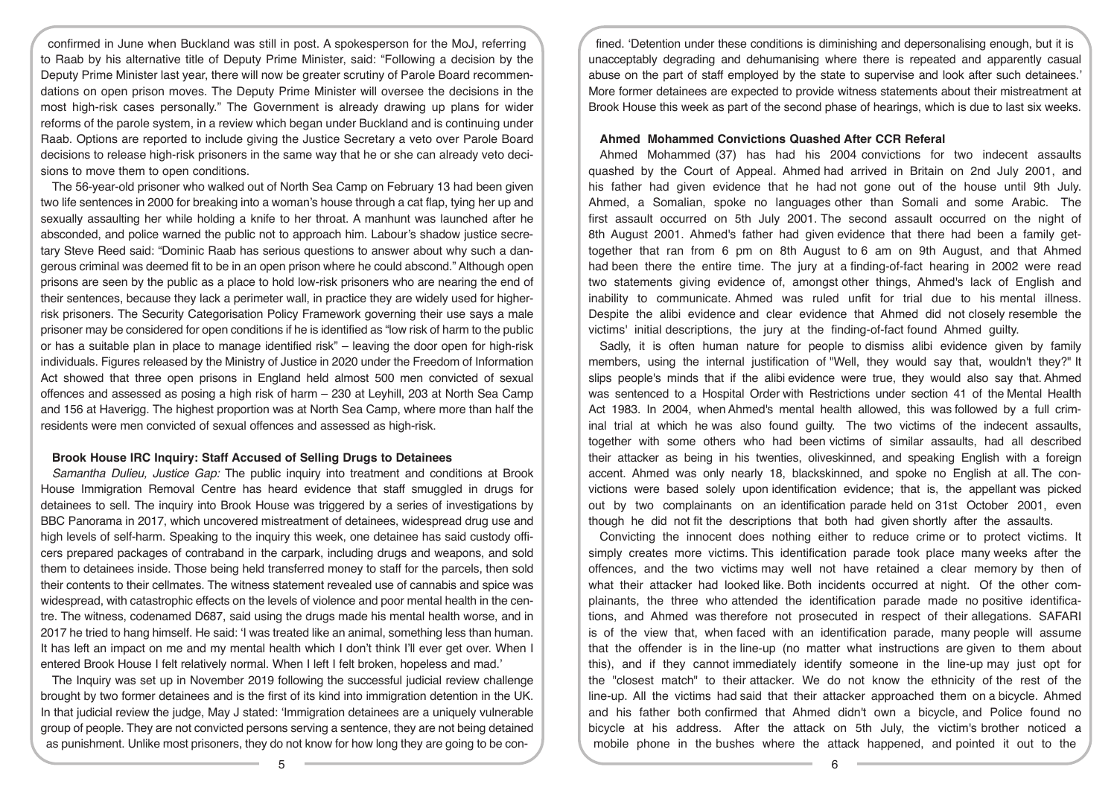confirmed in June when Buckland was still in post. A spokesperson for the MoJ, referring to Raab by his alternative title of Deputy Prime Minister, said: "Following a decision by the Deputy Prime Minister last year, there will now be greater scrutiny of Parole Board recommendations on open prison moves. The Deputy Prime Minister will oversee the decisions in the most high-risk cases personally." The Government is already drawing up plans for wider reforms of the parole system, in a review which began under Buckland and is continuing under Raab. Options are reported to include giving the Justice Secretary a veto over Parole Board decisions to release high-risk prisoners in the same way that he or she can already veto decisions to move them to open conditions.

The 56-year-old prisoner who walked out of North Sea Camp on February 13 had been given two life sentences in 2000 for breaking into a woman's house through a cat flap, tying her up and sexually assaulting her while holding a knife to her throat. A manhunt was launched after he absconded, and police warned the public not to approach him. Labour's shadow justice secretary Steve Reed said: "Dominic Raab has serious questions to answer about why such a dangerous criminal was deemed fit to be in an open prison where he could abscond." Although open prisons are seen by the public as a place to hold low-risk prisoners who are nearing the end of their sentences, because they lack a perimeter wall, in practice they are widely used for higherrisk prisoners. The Security Categorisation Policy Framework governing their use says a male prisoner may be considered for open conditions if he is identified as "low risk of harm to the public or has a suitable plan in place to manage identified risk" – leaving the door open for high-risk individuals. Figures released by the Ministry of Justice in 2020 under the Freedom of Information Act showed that three open prisons in England held almost 500 men convicted of sexual offences and assessed as posing a high risk of harm – 230 at Leyhill, 203 at North Sea Camp and 156 at Haverigg. The highest proportion was at North Sea Camp, where more than half the residents were men convicted of sexual offences and assessed as high-risk.

## **Brook House IRC Inquiry: Staff Accused of Selling Drugs to Detainees**

*Samantha Dulieu, Justice Gap:* The public inquiry into treatment and conditions at Brook House Immigration Removal Centre has heard evidence that staff smuggled in drugs for detainees to sell. The inquiry into Brook House was triggered by a series of investigations by BBC Panorama in 2017, which uncovered mistreatment of detainees, widespread drug use and high levels of self-harm. Speaking to the inquiry this week, one detainee has said custody officers prepared packages of contraband in the carpark, including drugs and weapons, and sold them to detainees inside. Those being held transferred money to staff for the parcels, then sold their contents to their cellmates. The witness statement revealed use of cannabis and spice was widespread, with catastrophic effects on the levels of violence and poor mental health in the centre. The witness, codenamed D687, said using the drugs made his mental health worse, and in 2017 he tried to hang himself. He said: 'I was treated like an animal, something less than human. It has left an impact on me and my mental health which I don't think I'll ever get over. When I entered Brook House I felt relatively normal. When I left I felt broken, hopeless and mad.'

The Inquiry was set up in November 2019 following the successful judicial review challenge brought by two former detainees and is the first of its kind into immigration detention in the UK. In that judicial review the judge, May J stated: 'Immigration detainees are a uniquely vulnerable group of people. They are not convicted persons serving a sentence, they are not being detained as punishment. Unlike most prisoners, they do not know for how long they are going to be con-

fined. 'Detention under these conditions is diminishing and depersonalising enough, but it is unacceptably degrading and dehumanising where there is repeated and apparently casual abuse on the part of staff employed by the state to supervise and look after such detainees.' More former detainees are expected to provide witness statements about their mistreatment at Brook House this week as part of the second phase of hearings, which is due to last six weeks.

## **Ahmed Mohammed Convictions Quashed After CCR Referal**

Ahmed Mohammed (37) has had his 2004 convictions for two indecent assaults quashed by the Court of Appeal. Ahmed had arrived in Britain on 2nd July 2001, and his father had given evidence that he had not gone out of the house until 9th July. Ahmed, a Somalian, spoke no languages other than Somali and some Arabic. The first assault occurred on 5th July 2001. The second assault occurred on the night of 8th August 2001. Ahmed's father had given evidence that there had been a family gettogether that ran from 6 pm on 8th August to 6 am on 9th August, and that Ahmed had been there the entire time. The jury at a finding-of-fact hearing in 2002 were read two statements giving evidence of, amongst other things, Ahmed's lack of English and inability to communicate. Ahmed was ruled unfit for trial due to his mental illness. Despite the alibi evidence and clear evidence that Ahmed did not closely resemble the victims' initial descriptions, the jury at the finding-of-fact found Ahmed guilty.

Sadly, it is often human nature for people to dismiss alibi evidence given by family members, using the internal justification of "Well, they would say that, wouldn't they?" It slips people's minds that if the alibi evidence were true, they would also say that. Ahmed was sentenced to a Hospital Order with Restrictions under section 41 of the Mental Health Act 1983. In 2004, when Ahmed's mental health allowed, this was followed by a full criminal trial at which he was also found guilty. The two victims of the indecent assaults, together with some others who had been victims of similar assaults, had all described their attacker as being in his twenties, oliveskinned, and speaking English with a foreign accent. Ahmed was only nearly 18, blackskinned, and spoke no English at all. The convictions were based solely upon identification evidence; that is, the appellant was picked out by two complainants on an identification parade held on 31st October 2001, even though he did not fit the descriptions that both had given shortly after the assaults.

Convicting the innocent does nothing either to reduce crime or to protect victims. It simply creates more victims. This identification parade took place many weeks after the offences, and the two victims may well not have retained a clear memory by then of what their attacker had looked like. Both incidents occurred at night. Of the other complainants, the three who attended the identification parade made no positive identifications, and Ahmed was therefore not prosecuted in respect of their allegations. SAFARI is of the view that, when faced with an identification parade, many people will assume that the offender is in the line-up (no matter what instructions are given to them about this), and if they cannot immediately identify someone in the line-up may just opt for the "closest match" to their attacker. We do not know the ethnicity of the rest of the line-up. All the victims had said that their attacker approached them on a bicycle. Ahmed and his father both confirmed that Ahmed didn't own a bicycle, and Police found no bicycle at his address. After the attack on 5th July, the victim's brother noticed a mobile phone in the bushes where the attack happened, and pointed it out to the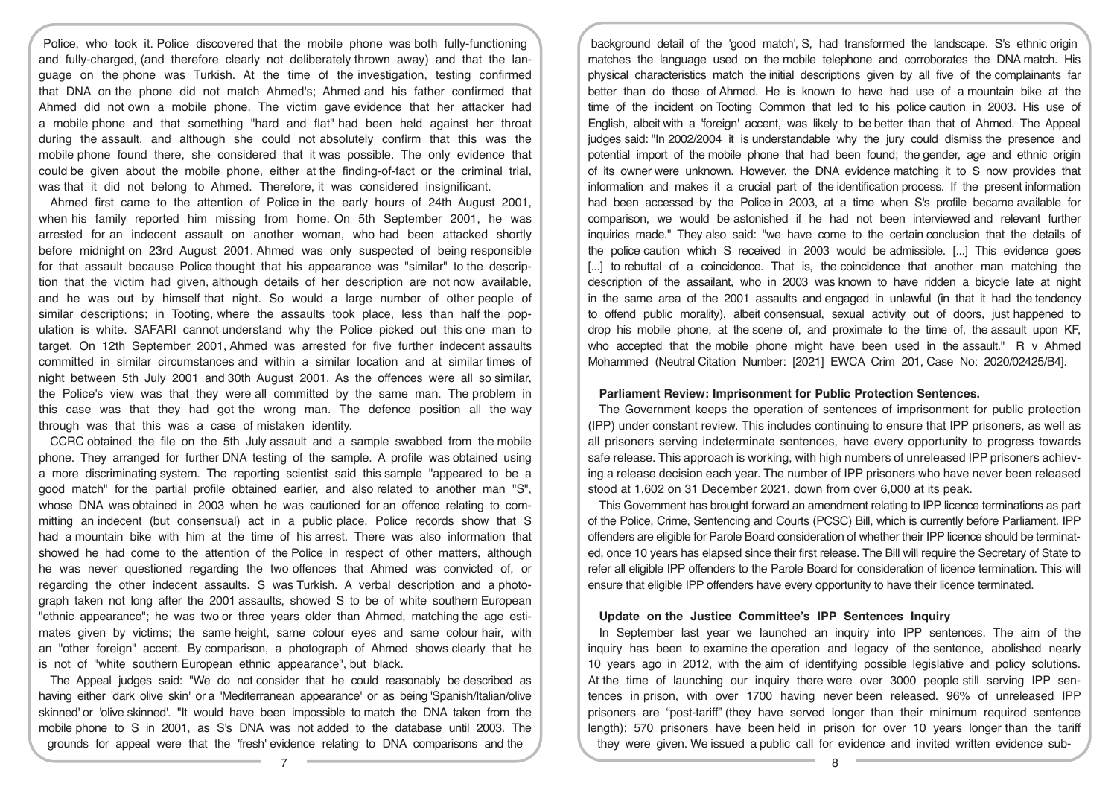Police, who took it. Police discovered that the mobile phone was both fully-functioning and fully-charged, (and therefore clearly not deliberately thrown away) and that the language on the phone was Turkish. At the time of the investigation, testing confirmed that DNA on the phone did not match Ahmed's; Ahmed and his father confirmed that Ahmed did not own a mobile phone. The victim gave evidence that her attacker had a mobile phone and that something "hard and flat" had been held against her throat during the assault, and although she could not absolutely confirm that this was the mobile phone found there, she considered that it was possible. The only evidence that could be given about the mobile phone, either at the finding-of-fact or the criminal trial, was that it did not belong to Ahmed. Therefore, it was considered insignificant.

Ahmed first came to the attention of Police in the early hours of 24th August 2001, when his family reported him missing from home. On 5th September 2001, he was arrested for an indecent assault on another woman, who had been attacked shortly before midnight on 23rd August 2001. Ahmed was only suspected of being responsible for that assault because Police thought that his appearance was "similar" to the description that the victim had given, although details of her description are not now available, and he was out by himself that night. So would a large number of other people of similar descriptions; in Tooting, where the assaults took place, less than half the population is white. SAFARI cannot understand why the Police picked out this one man to target. On 12th September 2001, Ahmed was arrested for five further indecent assaults committed in similar circumstances and within a similar location and at similar times of night between 5th July 2001 and 30th August 2001. As the offences were all so similar, the Police's view was that they were all committed by the same man. The problem in this case was that they had got the wrong man. The defence position all the way through was that this was a case of mistaken identity.

CCRC obtained the file on the 5th July assault and a sample swabbed from the mobile phone. They arranged for further DNA testing of the sample. A profile was obtained using a more discriminating system. The reporting scientist said this sample "appeared to be a good match" for the partial profile obtained earlier, and also related to another man "S", whose DNA was obtained in 2003 when he was cautioned for an offence relating to committing an indecent (but consensual) act in a public place. Police records show that S had a mountain bike with him at the time of his arrest. There was also information that showed he had come to the attention of the Police in respect of other matters, although he was never questioned regarding the two offences that Ahmed was convicted of, or regarding the other indecent assaults. S was Turkish. A verbal description and a photograph taken not long after the 2001 assaults, showed S to be of white southern European "ethnic appearance"; he was two or three years older than Ahmed, matching the age estimates given by victims; the same height, same colour eyes and same colour hair, with an "other foreign" accent. By comparison, a photograph of Ahmed shows clearly that he is not of "white southern European ethnic appearance", but black.

The Appeal judges said: "We do not consider that he could reasonably be described as having either 'dark olive skin' or a 'Mediterranean appearance' or as being 'Spanish/Italian/olive skinned' or 'olive skinned'. "It would have been impossible to match the DNA taken from the mobile phone to S in 2001, as S's DNA was not added to the database until 2003. The grounds for appeal were that the 'fresh' evidence relating to DNA comparisons and the

background detail of the 'good match', S, had transformed the landscape. S's ethnic origin matches the language used on the mobile telephone and corroborates the DNA match. His physical characteristics match the initial descriptions given by all five of the complainants far better than do those of Ahmed. He is known to have had use of a mountain bike at the time of the incident on Tooting Common that led to his police caution in 2003. His use of English, albeit with a 'foreign' accent, was likely to be better than that of Ahmed. The Appeal judges said: "In 2002/2004 it is understandable why the jury could dismiss the presence and potential import of the mobile phone that had been found; the gender, age and ethnic origin of its owner were unknown. However, the DNA evidence matching it to S now provides that information and makes it a crucial part of the identification process. If the present information had been accessed by the Police in 2003, at a time when S's profile became available for comparison, we would be astonished if he had not been interviewed and relevant further inquiries made." They also said: "we have come to the certain conclusion that the details of the police caution which S received in 2003 would be admissible. [...] This evidence goes [...] to rebuttal of a coincidence. That is, the coincidence that another man matching the description of the assailant, who in 2003 was known to have ridden a bicycle late at night in the same area of the 2001 assaults and engaged in unlawful (in that it had the tendency to offend public morality), albeit consensual, sexual activity out of doors, just happened to drop his mobile phone, at the scene of, and proximate to the time of, the assault upon KF, who accepted that the mobile phone might have been used in the assault." R v Ahmed Mohammed (Neutral Citation Number: [2021] EWCA Crim 201, Case No: 2020/02425/B4].

#### **Parliament Review: Imprisonment for Public Protection Sentences.**

The Government keeps the operation of sentences of imprisonment for public protection (IPP) under constant review. This includes continuing to ensure that IPP prisoners, as well as all prisoners serving indeterminate sentences, have every opportunity to progress towards safe release. This approach is working, with high numbers of unreleased IPP prisoners achieving a release decision each year. The number of IPP prisoners who have never been released stood at 1,602 on 31 December 2021, down from over 6,000 at its peak.

This Government has brought forward an amendment relating to IPP licence terminations as part of the Police, Crime, Sentencing and Courts (PCSC) Bill, which is currently before Parliament. IPP offenders are eligible for Parole Board consideration of whether their IPP licence should be terminated, once 10 years has elapsed since their first release. The Bill will require the Secretary of State to refer all eligible IPP offenders to the Parole Board for consideration of licence termination. This will ensure that eligible IPP offenders have every opportunity to have their licence terminated.

#### **Update on the Justice Committee's IPP Sentences Inquiry**

In September last year we launched an inquiry into IPP sentences. The aim of the inquiry has been to examine the operation and legacy of the sentence, abolished nearly 10 years ago in 2012, with the aim of identifying possible legislative and policy solutions. At the time of launching our inquiry there were over 3000 people still serving IPP sentences in prison, with over 1700 having never been released. 96% of unreleased IPP prisoners are "post-tariff" (they have served longer than their minimum required sentence length); 570 prisoners have been held in prison for over 10 years longer than the tariff they were given. We issued a public call for evidence and invited written evidence sub-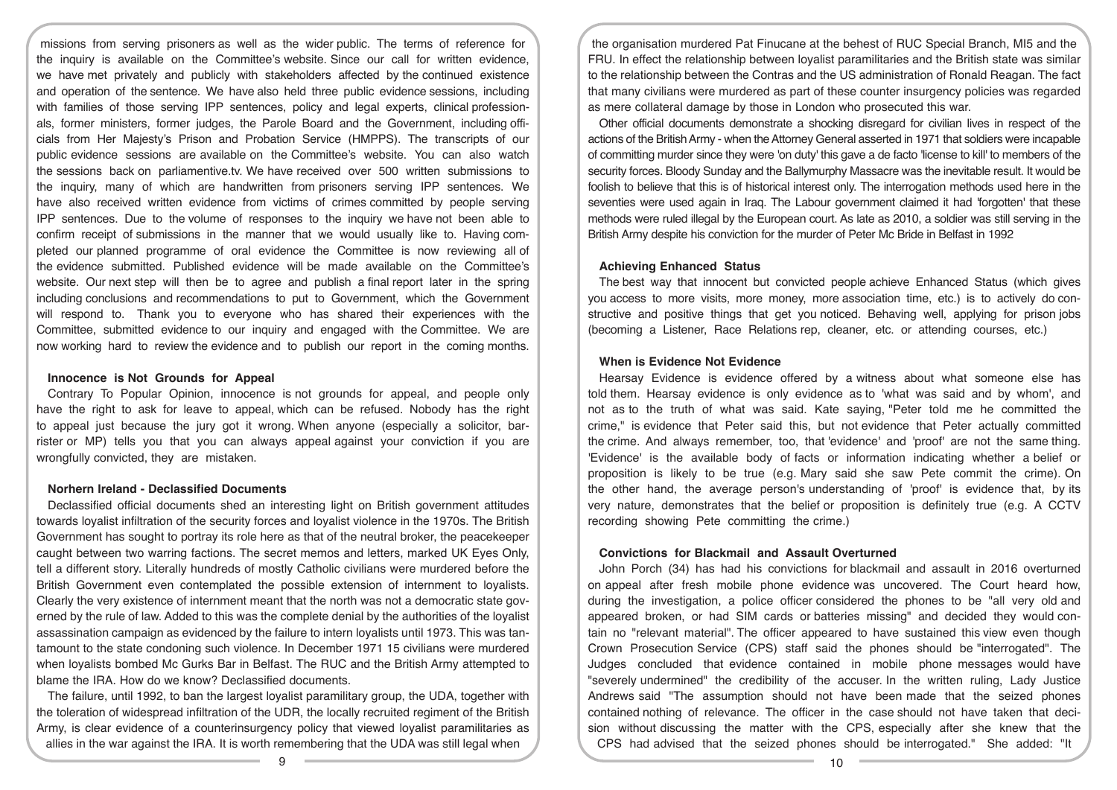missions from serving prisoners as well as the wider public. The terms of reference for the inquiry is available on the Committee's website. Since our call for written evidence, we have met privately and publicly with stakeholders affected by the continued existence and operation of the sentence. We have also held three public evidence sessions, including with families of those serving IPP sentences, policy and legal experts, clinical professionals, former ministers, former judges, the Parole Board and the Government, including officials from Her Majesty's Prison and Probation Service (HMPPS). The transcripts of our public evidence sessions are available on the Committee's website. You can also watch the sessions back on parliamentive.tv. We have received over 500 written submissions to the inquiry, many of which are handwritten from prisoners serving IPP sentences. We have also received written evidence from victims of crimes committed by people serving IPP sentences. Due to the volume of responses to the inquiry we have not been able to confirm receipt of submissions in the manner that we would usually like to. Having completed our planned programme of oral evidence the Committee is now reviewing all of the evidence submitted. Published evidence will be made available on the Committee's website. Our next step will then be to agree and publish a final report later in the spring including conclusions and recommendations to put to Government, which the Government will respond to. Thank you to everyone who has shared their experiences with the Committee, submitted evidence to our inquiry and engaged with the Committee. We are now working hard to review the evidence and to publish our report in the coming months.

#### **Innocence is Not Grounds for Appeal**

Contrary To Popular Opinion, innocence is not grounds for appeal, and people only have the right to ask for leave to appeal, which can be refused. Nobody has the right to appeal just because the jury got it wrong. When anyone (especially a solicitor, barrister or MP) tells you that you can always appeal against your conviction if you are wrongfully convicted, they are mistaken.

## **Norhern Ireland - Declassified Documents**

Declassified official documents shed an interesting light on British government attitudes towards loyalist infiltration of the security forces and loyalist violence in the 1970s. The British Government has sought to portray its role here as that of the neutral broker, the peacekeeper caught between two warring factions. The secret memos and letters, marked UK Eyes Only, tell a different story. Literally hundreds of mostly Catholic civilians were murdered before the British Government even contemplated the possible extension of internment to loyalists. Clearly the very existence of internment meant that the north was not a democratic state governed by the rule of law. Added to this was the complete denial by the authorities of the loyalist assassination campaign as evidenced by the failure to intern loyalists until 1973. This was tantamount to the state condoning such violence. In December 1971 15 civilians were murdered when loyalists bombed Mc Gurks Bar in Belfast. The RUC and the British Army attempted to blame the IRA. How do we know? Declassified documents.

The failure, until 1992, to ban the largest loyalist paramilitary group, the UDA, together with the toleration of widespread infiltration of the UDR, the locally recruited regiment of the British Army, is clear evidence of a counterinsurgency policy that viewed loyalist paramilitaries as allies in the war against the IRA. It is worth remembering that the UDA was still legal when

the organisation murdered Pat Finucane at the behest of RUC Special Branch, MI5 and the FRU. In effect the relationship between loyalist paramilitaries and the British state was similar to the relationship between the Contras and the US administration of Ronald Reagan. The fact that many civilians were murdered as part of these counter insurgency policies was regarded as mere collateral damage by those in London who prosecuted this war.

Other official documents demonstrate a shocking disregard for civilian lives in respect of the actions of the British Army - when the Attorney General asserted in 1971 that soldiers were incapable of committing murder since they were 'on duty' this gave a de facto 'license to kill' to members of the security forces. Bloody Sunday and the Ballymurphy Massacre was the inevitable result. It would be foolish to believe that this is of historical interest only. The interrogation methods used here in the seventies were used again in Iraq. The Labour government claimed it had 'forgotten' that these methods were ruled illegal by the European court. As late as 2010, a soldier was still serving in the British Army despite his conviction for the murder of Peter Mc Bride in Belfast in 1992

#### **Achieving Enhanced Status**

The best way that innocent but convicted people achieve Enhanced Status (which gives you access to more visits, more money, more association time, etc.) is to actively do constructive and positive things that get you noticed. Behaving well, applying for prison jobs (becoming a Listener, Race Relations rep, cleaner, etc. or attending courses, etc.)

## **When is Evidence Not Evidence**

Hearsay Evidence is evidence offered by a witness about what someone else has told them. Hearsay evidence is only evidence as to 'what was said and by whom', and not as to the truth of what was said. Kate saying, "Peter told me he committed the crime," is evidence that Peter said this, but not evidence that Peter actually committed the crime. And always remember, too, that 'evidence' and 'proof' are not the same thing. 'Evidence' is the available body of facts or information indicating whether a belief or proposition is likely to be true (e.g. Mary said she saw Pete commit the crime). On the other hand, the average person's understanding of 'proof' is evidence that, by its very nature, demonstrates that the belief or proposition is definitely true (e.g. A CCTV recording showing Pete committing the crime.)

#### **Convictions for Blackmail and Assault Overturned**

John Porch (34) has had his convictions for blackmail and assault in 2016 overturned on appeal after fresh mobile phone evidence was uncovered. The Court heard how, during the investigation, a police officer considered the phones to be "all very old and appeared broken, or had SIM cards or batteries missing" and decided they would contain no "relevant material". The officer appeared to have sustained this view even though Crown Prosecution Service (CPS) staff said the phones should be "interrogated". The Judges concluded that evidence contained in mobile phone messages would have "severely undermined" the credibility of the accuser. In the written ruling, Lady Justice Andrews said "The assumption should not have been made that the seized phones contained nothing of relevance. The officer in the case should not have taken that decision without discussing the matter with the CPS, especially after she knew that the CPS had advised that the seized phones should be interrogated." She added: "It